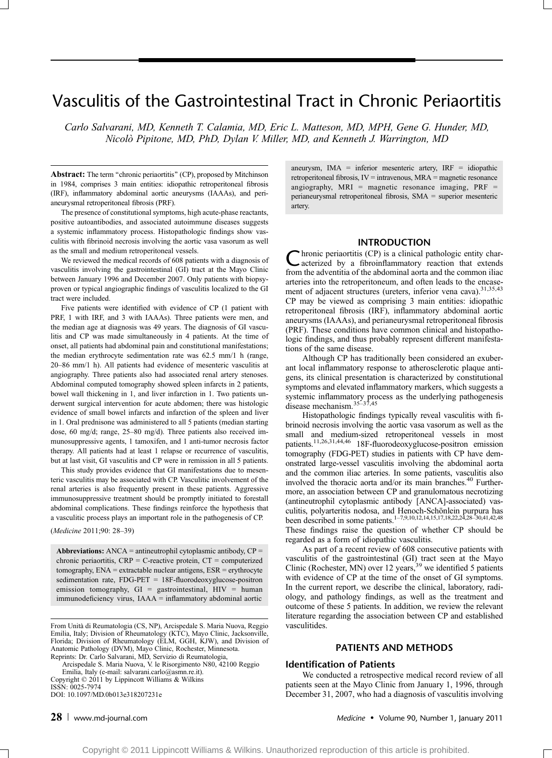# Vasculitis of the Gastrointestinal Tract in Chronic Periaortitis

Carlo Salvarani, MD, Kenneth T. Calamia, MD, Eric L. Matteson, MD, MPH, Gene G. Hunder, MD, Nicolo` Pipitone, MD, PhD, Dylan V. Miller, MD, and Kenneth J. Warrington, MD

Abstract: The term "chronic periaortitis" (CP), proposed by Mitchinson in 1984, comprises 3 main entities: idiopathic retroperitoneal fibrosis (IRF), inflammatory abdominal aortic aneurysms (IAAAs), and perianeurysmal retroperitoneal fibrosis (PRF).

The presence of constitutional symptoms, high acute-phase reactants, positive autoantibodies, and associated autoimmune diseases suggests a systemic inflammatory process. Histopathologic findings show vasculitis with fibrinoid necrosis involving the aortic vasa vasorum as well as the small and medium retroperitoneal vessels.

We reviewed the medical records of 608 patients with a diagnosis of vasculitis involving the gastrointestinal (GI) tract at the Mayo Clinic between January 1996 and December 2007. Only patients with biopsyproven or typical angiographic findings of vasculitis localized to the GI tract were included.

Five patients were identified with evidence of CP (1 patient with PRF, 1 with IRF, and 3 with IAAAs). Three patients were men, and the median age at diagnosis was 49 years. The diagnosis of GI vasculitis and CP was made simultaneously in 4 patients. At the time of onset, all patients had abdominal pain and constitutional manifestations; the median erythrocyte sedimentation rate was 62.5 mm/1 h (range,  $20-86$  mm/1 h). All patients had evidence of mesenteric vasculitis at angiography. Three patients also had associated renal artery stenoses. Abdominal computed tomography showed spleen infarcts in 2 patients, bowel wall thickening in 1, and liver infarction in 1. Two patients underwent surgical intervention for acute abdomen; there was histologic evidence of small bowel infarcts and infarction of the spleen and liver in 1. Oral prednisone was administered to all 5 patients (median starting dose, 60 mg/d; range, 25-80 mg/d). Three patients also received immunosuppressive agents, 1 tamoxifen, and 1 anti-tumor necrosis factor therapy. All patients had at least 1 relapse or recurrence of vasculitis, but at last visit, GI vasculitis and CP were in remission in all 5 patients.

This study provides evidence that GI manifestations due to mesenteric vasculitis may be associated with CP. Vasculitic involvement of the renal arteries is also frequently present in these patients. Aggressive immunosuppressive treatment should be promptly initiated to forestall abdominal complications. These findings reinforce the hypothesis that a vasculitic process plays an important role in the pathogenesis of CP.

(Medicine 2011;90: 28-39)

Abbreviations:  $ANCA =$  antineutrophil cytoplasmic antibody,  $CP =$ chronic periaortitis,  $CRP = C$ -reactive protein,  $CT =$  computerized tomography, ENA = extractable nuclear antigens, ESR = erythrocyte sedimentation rate, FDG-PET = 18F-fluorodeoxyglucose-positron emission tomography,  $GI =$  gastrointestinal,  $HIV =$  human immunodeficiency virus, IAAA = inflammatory abdominal aortic

From Unita` di Reumatologia (CS, NP), Arcispedale S. Maria Nuova, Reggio Emilia, Italy; Division of Rheumatology (KTC), Mayo Clinic, Jacksonville, Florida; Division of Rheumatology (ELM, GGH, KJW), and Division of Anatomic Pathology (DVM), Mayo Clinic, Rochester, Minnesota. Reprints: Dr. Carlo Salvarani, MD, Servizio di Reumatologia,

Arcispedale S. Maria Nuova, V. le Risorgimento N80, 42100 Reggio

Emilia, Italy (e-mail: salvarani.carlo@asmn.re.it). Copyright  $© 2011$  by Lippincott Williams & Wilkins

ISSN: 0025-7974 DOI: 10.1097/MD.0b013e318207231e aneurysm, IMA = inferior mesenteric artery, IRF = idiopathic retroperitoneal fibrosis, IV = intravenous, MRA = magnetic resonance angiography,  $MRI$  = magnetic resonance imaging,  $PRF$  = perianeurysmal retroperitoneal fibrosis, SMA = superior mesenteric artery.

## INTRODUCTION

Chronic periaortitis (CP) is a clinical pathologic entity char-<br>acterized by a fibroinflammatory reaction that extends from the adventitia of the abdominal aorta and the common iliac arteries into the retroperitoneum, and often leads to the encasement of adjacent structures (ureters, inferior vena cava).<sup>31,35,43</sup> CP may be viewed as comprising 3 main entities: idiopathic retroperitoneal fibrosis (IRF), inflammatory abdominal aortic aneurysms (IAAAs), and perianeurysmal retroperitoneal fibrosis (PRF). These conditions have common clinical and histopathologic findings, and thus probably represent different manifestations of the same disease.

Although CP has traditionally been considered an exuberant local inflammatory response to atherosclerotic plaque antigens, its clinical presentation is characterized by constitutional symptoms and elevated inflammatory markers, which suggests a systemic inflammatory process as the underlying pathogenesis disease mechanism.<sup>35–37,45</sup>

Histopathologic findings typically reveal vasculitis with fibrinoid necrosis involving the aortic vasa vasorum as well as the small and medium-sized retroperitoneal vessels in most<br>patients.<sup>11,26,31,44,46</sup> 18F-fluorodeoxyglucose-positron emission tomography (FDG-PET) studies in patients with CP have demonstrated large-vessel vasculitis involving the abdominal aorta and the common iliac arteries. In some patients, vasculitis also involved the thoracic aorta and/or its main branches.<sup>40</sup> Furthermore, an association between CP and granulomatous necrotizing (antineutrophil cytoplasmic antibody [ANCA]-associated) vasculitis, polyarteritis nodosa, and Henoch-Schönlein purpura has<br>been described in some patients.<sup>1-7,9,10,12,14,15,17,18,22,24,28-30,41,42,48</sup> These findings raise the question of whether CP should be regarded as a form of idiopathic vasculitis.

As part of a recent review of 608 consecutive patients with vasculitis of the gastrointestinal (GI) tract seen at the Mayo Clinic (Rochester, MN) over 12 years,  $39$  we identified 5 patients with evidence of CP at the time of the onset of GI symptoms. In the current report, we describe the clinical, laboratory, radiology, and pathology findings, as well as the treatment and outcome of these 5 patients. In addition, we review the relevant literature regarding the association between CP and established vasculitides.

# PATIENTS AND METHODS

# Identification of Patients

We conducted a retrospective medical record review of all patients seen at the Mayo Clinic from January 1, 1996, through December 31, 2007, who had a diagnosis of vasculitis involving

28 www.md-journal.com Medicine & Volume 90, Number 1, January 2011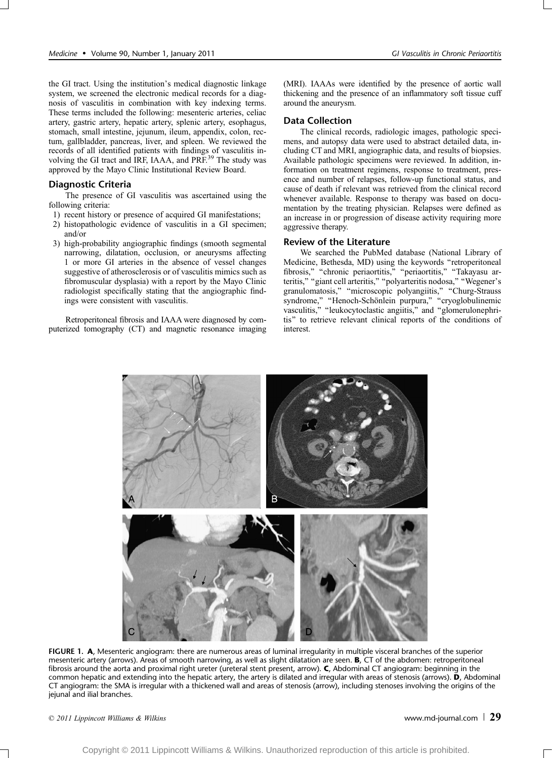the GI tract. Using the institution's medical diagnostic linkage system, we screened the electronic medical records for a diagnosis of vasculitis in combination with key indexing terms. These terms included the following: mesenteric arteries, celiac artery, gastric artery, hepatic artery, splenic artery, esophagus, stomach, small intestine, jejunum, ileum, appendix, colon, rectum, gallbladder, pancreas, liver, and spleen. We reviewed the records of all identified patients with findings of vasculitis involving the GI tract and IRF, IAAA, and PRF.<sup>39</sup> The study was approved by the Mayo Clinic Institutional Review Board.

# Diagnostic Criteria

The presence of GI vasculitis was ascertained using the following criteria:

- 1) recent history or presence of acquired GI manifestations;
- 2) histopathologic evidence of vasculitis in a GI specimen; and/or
- 3) high-probability angiographic findings (smooth segmental narrowing, dilatation, occlusion, or aneurysms affecting 1 or more GI arteries in the absence of vessel changes suggestive of atherosclerosis or of vasculitis mimics such as fibromuscular dysplasia) with a report by the Mayo Clinic radiologist specifically stating that the angiographic findings were consistent with vasculitis.

Retroperitoneal fibrosis and IAAA were diagnosed by computerized tomography (CT) and magnetic resonance imaging (MRI). IAAAs were identified by the presence of aortic wall thickening and the presence of an inflammatory soft tissue cuff around the aneurysm.

# Data Collection

The clinical records, radiologic images, pathologic specimens, and autopsy data were used to abstract detailed data, including CT and MRI, angiographic data, and results of biopsies. Available pathologic specimens were reviewed. In addition, information on treatment regimens, response to treatment, presence and number of relapses, follow-up functional status, and cause of death if relevant was retrieved from the clinical record whenever available. Response to therapy was based on documentation by the treating physician. Relapses were defined as an increase in or progression of disease activity requiring more aggressive therapy.

# Review of the Literature

We searched the PubMed database (National Library of Medicine, Bethesda, MD) using the keywords ''retroperitoneal fibrosis," "chronic periaortitis," "periaortitis," "Takayasu arteritis," "giant cell arteritis," "polyarteritis nodosa," "Wegener's granulomatosis,'' ''microscopic polyangiitis,'' ''Churg-Strauss syndrome," "Henoch-Schönlein purpura," "cryoglobulinemic vasculitis," "leukocytoclastic angiitis," and "glomerulonephritis'' to retrieve relevant clinical reports of the conditions of interest.



FIGURE 1. A, Mesenteric angiogram: there are numerous areas of luminal irregularity in multiple visceral branches of the superior mesenteric artery (arrows). Areas of smooth narrowing, as well as slight dilatation are seen. **B**, CT of the abdomen: retroperitoneal fibrosis around the aorta and proximal right ureter (ureteral stent present, arrow). C, Abdominal CT angiogram: beginning in the common hepatic and extending into the hepatic artery, the artery is dilated and irregular with areas of stenosis (arrows). D, Abdominal CT angiogram: the SMA is irregular with a thickened wall and areas of stenosis (arrow), including stenoses involving the origins of the jejunal and ilial branches.

 $\degree$  2011 Lippincott Williams & Wilkins www.md-journal.com  $\degree$  29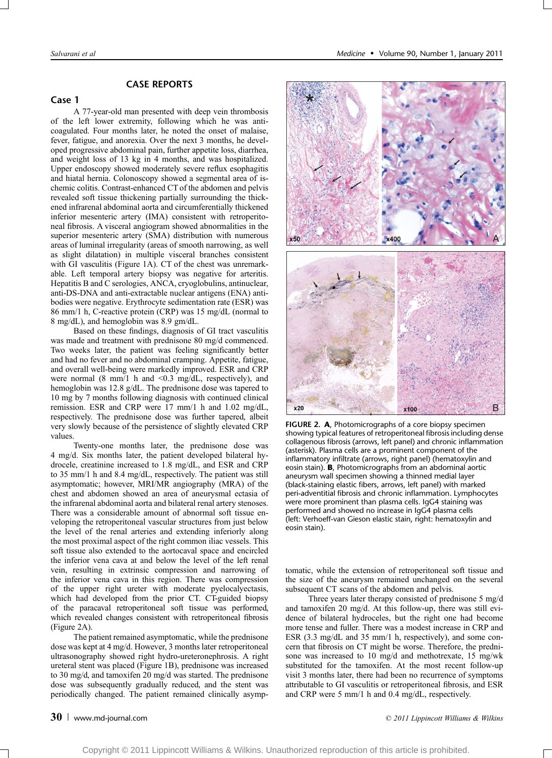# CASE REPORTS

# Case 1

A 77-year-old man presented with deep vein thrombosis of the left lower extremity, following which he was anticoagulated. Four months later, he noted the onset of malaise, fever, fatigue, and anorexia. Over the next 3 months, he developed progressive abdominal pain, further appetite loss, diarrhea, and weight loss of 13 kg in 4 months, and was hospitalized. Upper endoscopy showed moderately severe reflux esophagitis and hiatal hernia. Colonoscopy showed a segmental area of ischemic colitis. Contrast-enhanced CT of the abdomen and pelvis revealed soft tissue thickening partially surrounding the thickened infrarenal abdominal aorta and circumferentially thickened inferior mesenteric artery (IMA) consistent with retroperitoneal fibrosis. A visceral angiogram showed abnormalities in the superior mesenteric artery (SMA) distribution with numerous areas of luminal irregularity (areas of smooth narrowing, as well as slight dilatation) in multiple visceral branches consistent with GI vasculitis (Figure 1A). CT of the chest was unremarkable. Left temporal artery biopsy was negative for arteritis. Hepatitis B and C serologies, ANCA, cryoglobulins, antinuclear, anti-DS-DNA and anti-extractable nuclear antigens (ENA) antibodies were negative. Erythrocyte sedimentation rate (ESR) was 86 mm/1 h, C-reactive protein (CRP) was 15 mg/dL (normal to 8 mg/dL), and hemoglobin was 8.9 gm/dL.

Based on these findings, diagnosis of GI tract vasculitis was made and treatment with prednisone 80 mg/d commenced. Two weeks later, the patient was feeling significantly better and had no fever and no abdominal cramping. Appetite, fatigue, and overall well-being were markedly improved. ESR and CRP were normal  $(8 \text{ mm}/1 \text{ h and } 0.3 \text{ mg}/dL$ , respectively), and hemoglobin was 12.8 g/dL. The prednisone dose was tapered to 10 mg by 7 months following diagnosis with continued clinical remission. ESR and CRP were 17 mm/1 h and 1.02 mg/dL, respectively. The prednisone dose was further tapered, albeit very slowly because of the persistence of slightly elevated CRP values.

Twenty-one months later, the prednisone dose was 4 mg/d. Six months later, the patient developed bilateral hydrocele, creatinine increased to 1.8 mg/dL, and ESR and CRP to 35 mm/1 h and 8.4 mg/dL, respectively. The patient was still asymptomatic; however, MRI/MR angiography (MRA) of the chest and abdomen showed an area of aneurysmal ectasia of the infrarenal abdominal aorta and bilateral renal artery stenoses. There was a considerable amount of abnormal soft tissue enveloping the retroperitoneal vascular structures from just below the level of the renal arteries and extending inferiorly along the most proximal aspect of the right common iliac vessels. This soft tissue also extended to the aortocaval space and encircled the inferior vena cava at and below the level of the left renal vein, resulting in extrinsic compression and narrowing of the inferior vena cava in this region. There was compression of the upper right ureter with moderate pyelocalyectasis, which had developed from the prior CT. CT-guided biopsy of the paracaval retroperitoneal soft tissue was performed, which revealed changes consistent with retroperitoneal fibrosis (Figure 2A).

The patient remained asymptomatic, while the prednisone dose was kept at 4 mg/d. However, 3 months later retroperitoneal ultrasonography showed right hydro-ureteronephrosis. A right ureteral stent was placed (Figure 1B), prednisone was increased to 30 mg/d, and tamoxifen 20 mg/d was started. The prednisone dose was subsequently gradually reduced, and the stent was periodically changed. The patient remained clinically asymp-



FIGURE 2. A, Photomicrographs of a core biopsy specimen showing typical features of retroperitoneal fibrosis including dense collagenous fibrosis (arrows, left panel) and chronic inflammation (asterisk). Plasma cells are a prominent component of the inflammatory infiltrate (arrows, right panel) (hematoxylin and eosin stain). B, Photomicrographs from an abdominal aortic aneurysm wall specimen showing a thinned medial layer (black-staining elastic fibers, arrows, left panel) with marked peri-adventitial fibrosis and chronic inflammation. Lymphocytes were more prominent than plasma cells. IgG4 staining was performed and showed no increase in IgG4 plasma cells (left: Verhoeff-van Gieson elastic stain, right: hematoxylin and eosin stain).

tomatic, while the extension of retroperitoneal soft tissue and the size of the aneurysm remained unchanged on the several subsequent CT scans of the abdomen and pelvis.

Three years later therapy consisted of prednisone 5 mg/d and tamoxifen 20 mg/d. At this follow-up, there was still evidence of bilateral hydroceles, but the right one had become more tense and fuller. There was a modest increase in CRP and ESR (3.3 mg/dL and 35 mm/1 h, respectively), and some concern that fibrosis on CT might be worse. Therefore, the prednisone was increased to 10 mg/d and methotrexate, 15 mg/wk substituted for the tamoxifen. At the most recent follow-up visit 3 months later, there had been no recurrence of symptoms attributable to GI vasculitis or retroperitoneal fibrosis, and ESR and CRP were 5 mm/1 h and 0.4 mg/dL, respectively.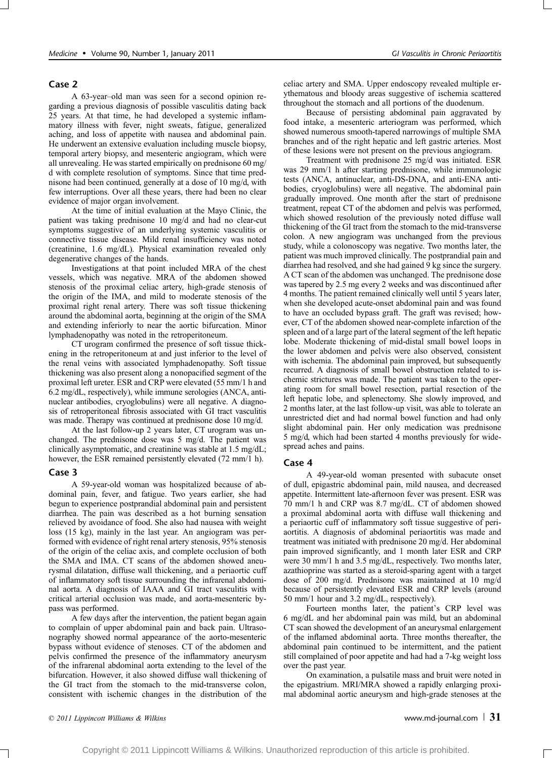## Case 2

A 63-year-old man was seen for a second opinion regarding a previous diagnosis of possible vasculitis dating back 25 years. At that time, he had developed a systemic inflammatory illness with fever, night sweats, fatigue, generalized aching, and loss of appetite with nausea and abdominal pain. He underwent an extensive evaluation including muscle biopsy, temporal artery biopsy, and mesenteric angiogram, which were all unrevealing. He was started empirically on prednisone 60 mg/ d with complete resolution of symptoms. Since that time prednisone had been continued, generally at a dose of 10 mg/d, with few interruptions. Over all these years, there had been no clear evidence of major organ involvement.

At the time of initial evaluation at the Mayo Clinic, the patient was taking prednisone 10 mg/d and had no clear-cut symptoms suggestive of an underlying systemic vasculitis or connective tissue disease. Mild renal insufficiency was noted (creatinine, 1.6 mg/dL). Physical examination revealed only degenerative changes of the hands.

Investigations at that point included MRA of the chest vessels, which was negative. MRA of the abdomen showed stenosis of the proximal celiac artery, high-grade stenosis of the origin of the IMA, and mild to moderate stenosis of the proximal right renal artery. There was soft tissue thickening around the abdominal aorta, beginning at the origin of the SMA and extending inferiorly to near the aortic bifurcation. Minor lymphadenopathy was noted in the retroperitoneum.

CT urogram confirmed the presence of soft tissue thickening in the retroperitoneum at and just inferior to the level of the renal veins with associated lymphadenopathy. Soft tissue thickening was also present along a nonopacified segment of the proximal left ureter. ESR and CRP were elevated (55 mm/1 h and 6.2 mg/dL, respectively), while immune serologies (ANCA, antinuclear antibodies, cryoglobulins) were all negative. A diagnosis of retroperitoneal fibrosis associated with GI tract vasculitis was made. Therapy was continued at prednisone dose 10 mg/d.

At the last follow-up 2 years later, CT urogram was unchanged. The prednisone dose was 5 mg/d. The patient was clinically asymptomatic, and creatinine was stable at 1.5 mg/dL; however, the ESR remained persistently elevated (72 mm/1 h).

### Case 3

A 59-year-old woman was hospitalized because of abdominal pain, fever, and fatigue. Two years earlier, she had begun to experience postprandial abdominal pain and persistent diarrhea. The pain was described as a hot burning sensation relieved by avoidance of food. She also had nausea with weight loss (15 kg), mainly in the last year. An angiogram was performed with evidence of right renal artery stenosis, 95% stenosis of the origin of the celiac axis, and complete occlusion of both the SMA and IMA. CT scans of the abdomen showed aneurysmal dilatation, diffuse wall thickening, and a periaortic cuff of inflammatory soft tissue surrounding the infrarenal abdominal aorta. A diagnosis of IAAA and GI tract vasculitis with critical arterial occlusion was made, and aorta-mesenteric bypass was performed.

A few days after the intervention, the patient began again to complain of upper abdominal pain and back pain. Ultrasonography showed normal appearance of the aorto-mesenteric bypass without evidence of stenoses. CT of the abdomen and pelvis confirmed the presence of the inflammatory aneurysm of the infrarenal abdominal aorta extending to the level of the bifurcation. However, it also showed diffuse wall thickening of the GI tract from the stomach to the mid-transverse colon, consistent with ischemic changes in the distribution of the

© 2011 Lippincott Williams & Wilkins www.md-journal.com  $\parallel$  31

celiac artery and SMA. Upper endoscopy revealed multiple erythematous and bloody areas suggestive of ischemia scattered throughout the stomach and all portions of the duodenum.

Because of persisting abdominal pain aggravated by food intake, a mesenteric arteriogram was performed, which showed numerous smooth-tapered narrowings of multiple SMA branches and of the right hepatic and left gastric arteries. Most of these lesions were not present on the previous angiogram.

Treatment with prednisone 25 mg/d was initiated. ESR was 29 mm/1 h after starting prednisone, while immunologic tests (ANCA, antinuclear, anti-DS-DNA, and anti-ENA antibodies, cryoglobulins) were all negative. The abdominal pain gradually improved. One month after the start of prednisone treatment, repeat CT of the abdomen and pelvis was performed, which showed resolution of the previously noted diffuse wall thickening of the GI tract from the stomach to the mid-transverse colon. A new angiogram was unchanged from the previous study, while a colonoscopy was negative. Two months later, the patient was much improved clinically. The postprandial pain and diarrhea had resolved, and she had gained 9 kg since the surgery. A CT scan of the abdomen was unchanged. The prednisone dose was tapered by 2.5 mg every 2 weeks and was discontinued after 4 months. The patient remained clinically well until 5 years later, when she developed acute-onset abdominal pain and was found to have an occluded bypass graft. The graft was revised; however, CT of the abdomen showed near-complete infarction of the spleen and of a large part of the lateral segment of the left hepatic lobe. Moderate thickening of mid-distal small bowel loops in the lower abdomen and pelvis were also observed, consistent with ischemia. The abdominal pain improved, but subsequently recurred. A diagnosis of small bowel obstruction related to ischemic strictures was made. The patient was taken to the operating room for small bowel resection, partial resection of the left hepatic lobe, and splenectomy. She slowly improved, and 2 months later, at the last follow-up visit, was able to tolerate an unrestricted diet and had normal bowel function and had only slight abdominal pain. Her only medication was prednisone 5 mg/d, which had been started 4 months previously for widespread aches and pains.

### Case 4

A 49-year-old woman presented with subacute onset of dull, epigastric abdominal pain, mild nausea, and decreased appetite. Intermittent late-afternoon fever was present. ESR was 70 mm/1 h and CRP was 8.7 mg/dL. CT of abdomen showed a proximal abdominal aorta with diffuse wall thickening and a periaortic cuff of inflammatory soft tissue suggestive of periaortitis. A diagnosis of abdominal periaortitis was made and treatment was initiated with prednisone 20 mg/d. Her abdominal pain improved significantly, and 1 month later ESR and CRP were 30 mm/1 h and 3.5 mg/dL, respectively. Two months later, azathioprine was started as a steroid-sparing agent with a target dose of 200 mg/d. Prednisone was maintained at 10 mg/d because of persistently elevated ESR and CRP levels (around 50 mm/1 hour and 3.2 mg/dL, respectively).

Fourteen months later, the patient's CRP level was 6 mg/dL and her abdominal pain was mild, but an abdominal CT scan showed the development of an aneurysmal enlargement of the inflamed abdominal aorta. Three months thereafter, the abdominal pain continued to be intermittent, and the patient still complained of poor appetite and had had a 7-kg weight loss over the past year.

On examination, a pulsatile mass and bruit were noted in the epigastrium. MRI/MRA showed a rapidly enlarging proximal abdominal aortic aneurysm and high-grade stenoses at the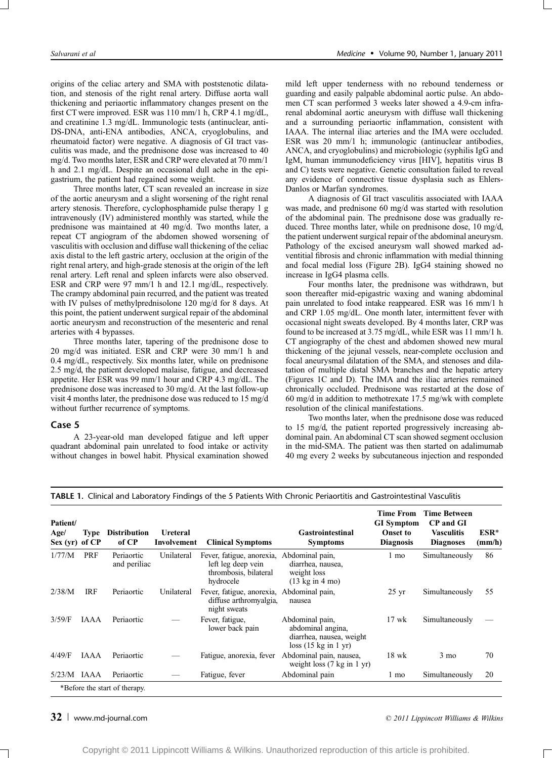origins of the celiac artery and SMA with poststenotic dilatation, and stenosis of the right renal artery. Diffuse aorta wall thickening and periaortic inflammatory changes present on the first CT were improved. ESR was 110 mm/1 h, CRP 4.1 mg/dL, and creatinine 1.3 mg/dL. Immunologic tests (antinuclear, anti-DS-DNA, anti-ENA antibodies, ANCA, cryoglobulins, and rheumatoid factor) were negative. A diagnosis of GI tract vasculitis was made, and the prednisone dose was increased to 40 mg/d. Two months later, ESR and CRP were elevated at 70 mm/1 h and 2.1 mg/dL. Despite an occasional dull ache in the epigastrium, the patient had regained some weight.

Three months later, CT scan revealed an increase in size of the aortic aneurysm and a slight worsening of the right renal artery stenosis. Therefore, cyclophosphamide pulse therapy 1 g intravenously (IV) administered monthly was started, while the prednisone was maintained at 40 mg/d. Two months later, a repeat CT angiogram of the abdomen showed worsening of vasculitis with occlusion and diffuse wall thickening of the celiac axis distal to the left gastric artery, occlusion at the origin of the right renal artery, and high-grade stenosis at the origin of the left renal artery. Left renal and spleen infarcts were also observed. ESR and CRP were 97 mm/1 h and 12.1 mg/dL, respectively. The crampy abdominal pain recurred, and the patient was treated with IV pulses of methylprednisolone 120 mg/d for 8 days. At this point, the patient underwent surgical repair of the abdominal aortic aneurysm and reconstruction of the mesenteric and renal arteries with 4 bypasses.

Three months later, tapering of the prednisone dose to 20 mg/d was initiated. ESR and CRP were 30 mm/1 h and 0.4 mg/dL, respectively. Six months later, while on prednisone 2.5 mg/d, the patient developed malaise, fatigue, and decreased appetite. Her ESR was 99 mm/1 hour and CRP 4.3 mg/dL. The prednisone dose was increased to 30 mg/d. At the last follow-up visit 4 months later, the prednisone dose was reduced to 15 mg/d without further recurrence of symptoms.

# Case 5

A 23-year-old man developed fatigue and left upper quadrant abdominal pain unrelated to food intake or activity without changes in bowel habit. Physical examination showed mild left upper tenderness with no rebound tenderness or guarding and easily palpable abdominal aortic pulse. An abdomen CT scan performed 3 weeks later showed a 4.9-cm infrarenal abdominal aortic aneurysm with diffuse wall thickening and a surrounding periaortic inflammation, consistent with IAAA. The internal iliac arteries and the IMA were occluded. ESR was 20 mm/1 h; immunologic (antinuclear antibodies, ANCA, and cryoglobulins) and microbiologic (syphilis IgG and IgM, human immunodeficiency virus [HIV], hepatitis virus B and C) tests were negative. Genetic consultation failed to reveal any evidence of connective tissue dysplasia such as Ehlers-Danlos or Marfan syndromes.

A diagnosis of GI tract vasculitis associated with IAAA was made, and prednisone 60 mg/d was started with resolution of the abdominal pain. The prednisone dose was gradually reduced. Three months later, while on prednisone dose, 10 mg/d, the patient underwent surgical repair of the abdominal aneurysm. Pathology of the excised aneurysm wall showed marked adventitial fibrosis and chronic inflammation with medial thinning and focal medial loss (Figure 2B). IgG4 staining showed no increase in IgG4 plasma cells.

Four months later, the prednisone was withdrawn, but soon thereafter mid-epigastric waxing and waning abdominal pain unrelated to food intake reappeared. ESR was 16 mm/1 h and CRP 1.05 mg/dL. One month later, intermittent fever with occasional night sweats developed. By 4 months later, CRP was found to be increased at 3.75 mg/dL, while ESR was 11 mm/1 h. CT angiography of the chest and abdomen showed new mural thickening of the jejunal vessels, near-complete occlusion and focal aneurysmal dilatation of the SMA, and stenoses and dilatation of multiple distal SMA branches and the hepatic artery (Figures 1C and D). The IMA and the iliac arteries remained chronically occluded. Prednisone was restarted at the dose of 60 mg/d in addition to methotrexate 17.5 mg/wk with complete resolution of the clinical manifestations.

Two months later, when the prednisone dose was reduced to 15 mg/d, the patient reported progressively increasing abdominal pain. An abdominal CT scan showed segment occlusion in the mid-SMA. The patient was then started on adalimumab 40 mg every 2 weeks by subcutaneous injection and responded

TABLE 1. Clinical and Laboratory Findings of the 5 Patients With Chronic Periaortitis and Gastrointestinal Vasculitis

| Patient/<br>Age/<br>Sex(yr) | Type<br>of CP | <b>Distribution</b><br>of CP  | <b>Ureteral</b><br>Involvement | <b>Clinical Symptoms</b>                                                              | <b>Gastrointestinal</b><br><b>Symptoms</b>                                                | <b>Time From</b><br><b>GI</b> Symptom<br><b>Onset to</b><br><b>Diagnosis</b> | <b>Time Between</b><br>CP and GI<br><b>Vasculitis</b><br><b>Diagnoses</b> | $ESR*$<br>(mm/h) |
|-----------------------------|---------------|-------------------------------|--------------------------------|---------------------------------------------------------------------------------------|-------------------------------------------------------------------------------------------|------------------------------------------------------------------------------|---------------------------------------------------------------------------|------------------|
| 1/77/M                      | PRF           | Periaortic<br>and periliac    | Unilateral                     | Fever, fatigue, anorexia,<br>left leg deep vein<br>thrombosis, bilateral<br>hydrocele | Abdominal pain,<br>diarrhea, nausea,<br>weight loss<br>$(13 \text{ kg in } 4 \text{ mo})$ | 1 mo                                                                         | Simultaneously                                                            | 86               |
| 2/38/M                      | IRF           | Periaortic                    | Unilateral                     | Fever, fatigue, anorexia,<br>diffuse arthromyalgia,<br>night sweats                   | Abdominal pain,<br>nausea                                                                 | $25 \text{ yr}$                                                              | Simultaneously                                                            | 55               |
| 3/59/F                      | IAAA          | Periaortic                    |                                | Fever, fatigue,<br>lower back pain                                                    | Abdominal pain,<br>abdominal angina,<br>diarrhea, nausea, weight<br>loss (15 kg in 1 yr)  | $17$ wk                                                                      | Simultaneously                                                            |                  |
| 4/49/F                      | IAAA          | Periaortic                    |                                | Fatigue, anorexia, fever                                                              | Abdominal pain, nausea,<br>weight loss $(7 \text{ kg in } 1 \text{ yr})$                  | 18 wk                                                                        | $3 \text{ mo}$                                                            | 70               |
| $5/23/M$ IAAA               |               | Periaortic                    |                                | Fatigue, fever                                                                        | Abdominal pain                                                                            | l mo                                                                         | Simultaneously                                                            | 20               |
|                             |               | *Before the start of therapy. |                                |                                                                                       |                                                                                           |                                                                              |                                                                           |                  |

## **32** www.md-journal.com  $\bullet$  2011 Lippincott Williams & Wilkins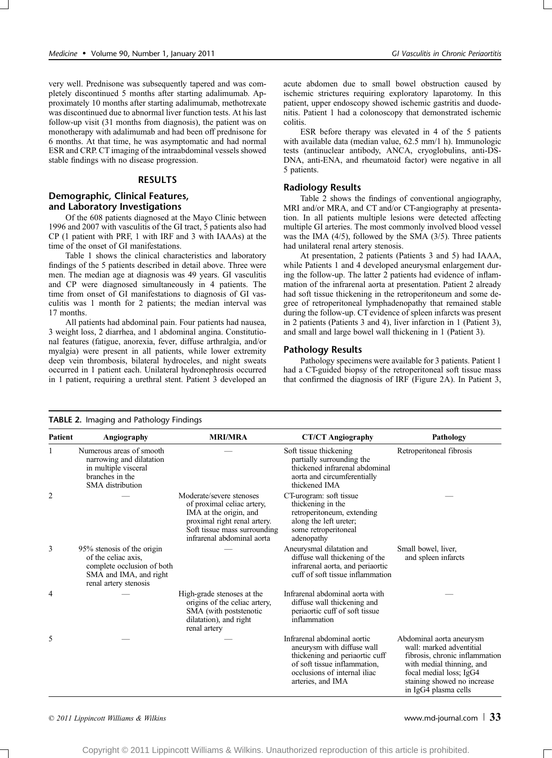very well. Prednisone was subsequently tapered and was completely discontinued 5 months after starting adalimumab. Approximately 10 months after starting adalimumab, methotrexate was discontinued due to abnormal liver function tests. At his last follow-up visit (31 months from diagnosis), the patient was on monotherapy with adalimumab and had been off prednisone for 6 months. At that time, he was asymptomatic and had normal ESR and CRP. CT imaging of the intraabdominal vessels showed stable findings with no disease progression.

# RESULTS

## Demographic, Clinical Features, and Laboratory Investigations

Of the 608 patients diagnosed at the Mayo Clinic between 1996 and 2007 with vasculitis of the GI tract, 5 patients also had CP (1 patient with PRF, 1 with IRF and 3 with IAAAs) at the time of the onset of GI manifestations.

Table 1 shows the clinical characteristics and laboratory findings of the 5 patients described in detail above. Three were men. The median age at diagnosis was 49 years. GI vasculitis and CP were diagnosed simultaneously in 4 patients. The time from onset of GI manifestations to diagnosis of GI vasculitis was 1 month for 2 patients; the median interval was 17 months.

All patients had abdominal pain. Four patients had nausea, 3 weight loss, 2 diarrhea, and 1 abdominal angina. Constitutional features (fatigue, anorexia, fever, diffuse arthralgia, and/or myalgia) were present in all patients, while lower extremity deep vein thrombosis, bilateral hydroceles, and night sweats occurred in 1 patient each. Unilateral hydronephrosis occurred in 1 patient, requiring a urethral stent. Patient 3 developed an acute abdomen due to small bowel obstruction caused by ischemic strictures requiring exploratory laparotomy. In this patient, upper endoscopy showed ischemic gastritis and duodenitis. Patient 1 had a colonoscopy that demonstrated ischemic colitis.

ESR before therapy was elevated in 4 of the 5 patients with available data (median value, 62.5 mm/1 h). Immunologic tests (antinuclear antibody, ANCA, cryoglobulins, anti-DS-DNA, anti-ENA, and rheumatoid factor) were negative in all 5 patients.

# Radiology Results

Table 2 shows the findings of conventional angiography, MRI and/or MRA, and CT and/or CT-angiography at presentation. In all patients multiple lesions were detected affecting multiple GI arteries. The most commonly involved blood vessel was the IMA (4/5), followed by the SMA (3/5). Three patients had unilateral renal artery stenosis.

At presentation, 2 patients (Patients 3 and 5) had IAAA, while Patients 1 and 4 developed aneurysmal enlargement during the follow-up. The latter 2 patients had evidence of inflammation of the infrarenal aorta at presentation. Patient 2 already had soft tissue thickening in the retroperitoneum and some degree of retroperitoneal lymphadenopathy that remained stable during the follow-up. CT evidence of spleen infarcts was present in 2 patients (Patients 3 and 4), liver infarction in 1 (Patient 3), and small and large bowel wall thickening in 1 (Patient 3).

### Pathology Results

Pathology specimens were available for 3 patients. Patient 1 had a CT-guided biopsy of the retroperitoneal soft tissue mass that confirmed the diagnosis of IRF (Figure 2A). In Patient 3,

| Patient | Angiography                                                                                                                        | <b>MRI/MRA</b>                                                                                                                                                                 | <b>CT/CT Angiography</b>                                                                                                                                                         | Pathology                                                                                                                                                                                             |
|---------|------------------------------------------------------------------------------------------------------------------------------------|--------------------------------------------------------------------------------------------------------------------------------------------------------------------------------|----------------------------------------------------------------------------------------------------------------------------------------------------------------------------------|-------------------------------------------------------------------------------------------------------------------------------------------------------------------------------------------------------|
| 1       | Numerous areas of smooth<br>narrowing and dilatation<br>in multiple visceral<br>branches in the<br><b>SMA</b> distribution         |                                                                                                                                                                                | Soft tissue thickening<br>partially surrounding the<br>thickened infrarenal abdominal<br>aorta and circumferentially<br>thickened IMA                                            | Retroperitoneal fibrosis                                                                                                                                                                              |
| 2       |                                                                                                                                    | Moderate/severe stenoses<br>of proximal celiac artery,<br>IMA at the origin, and<br>proximal right renal artery.<br>Soft tissue mass surrounding<br>infrarenal abdominal aorta | CT-urogram: soft tissue<br>thickening in the<br>retroperitoneum, extending<br>along the left ureter;<br>some retroperitoneal<br>adenopathy                                       |                                                                                                                                                                                                       |
| 3       | 95% stenosis of the origin<br>of the celiac axis.<br>complete occlusion of both<br>SMA and IMA, and right<br>renal artery stenosis |                                                                                                                                                                                | Aneurysmal dilatation and<br>diffuse wall thickening of the<br>infrarenal aorta, and periaortic<br>cuff of soft tissue inflammation                                              | Small bowel, liver,<br>and spleen infarcts                                                                                                                                                            |
| 4       |                                                                                                                                    | High-grade stenoses at the<br>origins of the celiac artery,<br>SMA (with poststenotic<br>dilatation), and right<br>renal artery                                                | Infrarenal abdominal aorta with<br>diffuse wall thickening and<br>periaortic cuff of soft tissue<br>inflammation                                                                 |                                                                                                                                                                                                       |
| 5       |                                                                                                                                    |                                                                                                                                                                                | Infrarenal abdominal aortic<br>aneurysm with diffuse wall<br>thickening and periaortic cuff<br>of soft tissue inflammation,<br>occlusions of internal iliac<br>arteries, and IMA | Abdominal aorta aneurysm<br>wall: marked adventitial<br>fibrosis, chronic inflammation<br>with medial thinning, and<br>focal medial loss; IgG4<br>staining showed no increase<br>in IgG4 plasma cells |

## TABLE 2. Imaging and Pathology Findings

# $\degree$  2011 Lippincott Williams & Wilkins www.md-journal.com  $\degree$  33

Copyright © 2011 Lippincott Williams & Wilkins. Unauthorized reproduction of this article is prohibited.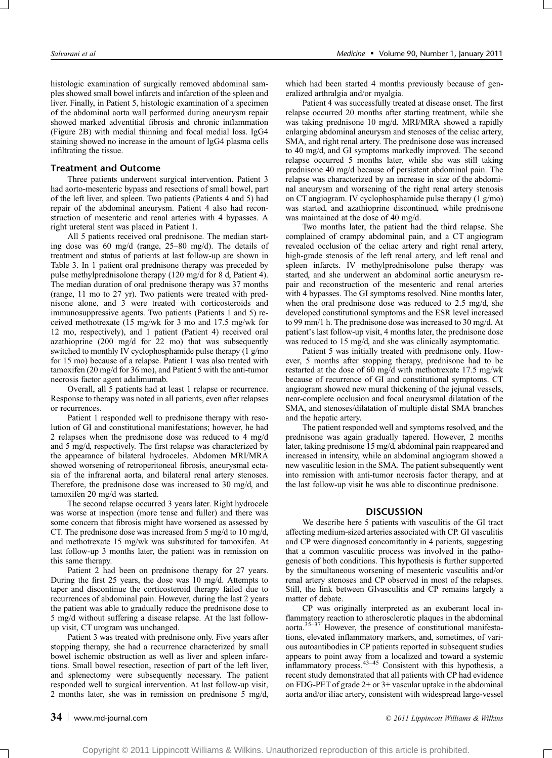histologic examination of surgically removed abdominal samples showed small bowel infarcts and infarction of the spleen and liver. Finally, in Patient 5, histologic examination of a specimen of the abdominal aorta wall performed during aneurysm repair showed marked adventitial fibrosis and chronic inflammation (Figure 2B) with medial thinning and focal medial loss. IgG4 staining showed no increase in the amount of IgG4 plasma cells infiltrating the tissue.

### Treatment and Outcome

Three patients underwent surgical intervention. Patient 3 had aorto-mesenteric bypass and resections of small bowel, part of the left liver, and spleen. Two patients (Patients 4 and 5) had repair of the abdominal aneurysm. Patient 4 also had reconstruction of mesenteric and renal arteries with 4 bypasses. A right ureteral stent was placed in Patient 1.

All 5 patients received oral prednisone. The median starting dose was 60 mg/d (range,  $25-80$  mg/d). The details of treatment and status of patients at last follow-up are shown in Table 3. In 1 patient oral prednisone therapy was preceded by pulse methylprednisolone therapy (120 mg/d for 8 d, Patient 4). The median duration of oral prednisone therapy was 37 months (range, 11 mo to 27 yr). Two patients were treated with prednisone alone, and 3 were treated with corticosteroids and immunosuppressive agents. Two patients (Patients 1 and 5) received methotrexate (15 mg/wk for 3 mo and 17.5 mg/wk for 12 mo, respectively), and 1 patient (Patient 4) received oral azathioprine (200 mg/d for 22 mo) that was subsequently switched to monthly IV cyclophosphamide pulse therapy (1 g/mo for 15 mo) because of a relapse. Patient 1 was also treated with tamoxifen (20 mg/d for 36 mo), and Patient 5 with the anti-tumor necrosis factor agent adalimumab.

Overall, all 5 patients had at least 1 relapse or recurrence. Response to therapy was noted in all patients, even after relapses or recurrences.

Patient 1 responded well to prednisone therapy with resolution of GI and constitutional manifestations; however, he had 2 relapses when the prednisone dose was reduced to 4 mg/d and 5 mg/d, respectively. The first relapse was characterized by the appearance of bilateral hydroceles. Abdomen MRI/MRA showed worsening of retroperitoneal fibrosis, aneurysmal ectasia of the infrarenal aorta, and bilateral renal artery stenoses. Therefore, the prednisone dose was increased to 30 mg/d, and tamoxifen 20 mg/d was started.

The second relapse occurred 3 years later. Right hydrocele was worse at inspection (more tense and fuller) and there was some concern that fibrosis might have worsened as assessed by CT. The prednisone dose was increased from 5 mg/d to 10 mg/d, and methotrexate 15 mg/wk was substituted for tamoxifen. At last follow-up 3 months later, the patient was in remission on this same therapy.

Patient 2 had been on prednisone therapy for 27 years. During the first 25 years, the dose was 10 mg/d. Attempts to taper and discontinue the corticosteroid therapy failed due to recurrences of abdominal pain. However, during the last 2 years the patient was able to gradually reduce the prednisone dose to 5 mg/d without suffering a disease relapse. At the last followup visit, CT urogram was unchanged.

Patient 3 was treated with prednisone only. Five years after stopping therapy, she had a recurrence characterized by small bowel ischemic obstruction as well as liver and spleen infarctions. Small bowel resection, resection of part of the left liver, and splenectomy were subsequently necessary. The patient responded well to surgical intervention. At last follow-up visit, 2 months later, she was in remission on prednisone 5 mg/d,

which had been started 4 months previously because of generalized arthralgia and/or myalgia.

Patient 4 was successfully treated at disease onset. The first relapse occurred 20 months after starting treatment, while she was taking prednisone 10 mg/d. MRI/MRA showed a rapidly enlarging abdominal aneurysm and stenoses of the celiac artery, SMA, and right renal artery. The prednisone dose was increased to 40 mg/d, and GI symptoms markedly improved. The second relapse occurred 5 months later, while she was still taking prednisone 40 mg/d because of persistent abdominal pain. The relapse was characterized by an increase in size of the abdominal aneurysm and worsening of the right renal artery stenosis on CT angiogram. IV cyclophosphamide pulse therapy (1 g/mo) was started, and azathioprine discontinued, while prednisone was maintained at the dose of 40 mg/d.

Two months later, the patient had the third relapse. She complained of crampy abdominal pain, and a CT angiogram revealed occlusion of the celiac artery and right renal artery, high-grade stenosis of the left renal artery, and left renal and spleen infarcts. IV methylprednisolone pulse therapy was started, and she underwent an abdominal aortic aneurysm repair and reconstruction of the mesenteric and renal arteries with 4 bypasses. The GI symptoms resolved. Nine months later, when the oral prednisone dose was reduced to 2.5 mg/d, she developed constitutional symptoms and the ESR level increased to 99 mm/1 h. The prednisone dose was increased to 30 mg/d. At patient's last follow-up visit, 4 months later, the prednisone dose was reduced to 15 mg/d, and she was clinically asymptomatic.

Patient 5 was initially treated with prednisone only. However, 5 months after stopping therapy, prednisone had to be restarted at the dose of 60 mg/d with methotrexate 17.5 mg/wk because of recurrence of GI and constitutional symptoms. CT angiogram showed new mural thickening of the jejunal vessels, near-complete occlusion and focal aneurysmal dilatation of the SMA, and stenoses/dilatation of multiple distal SMA branches and the hepatic artery.

The patient responded well and symptoms resolved, and the prednisone was again gradually tapered. However, 2 months later, taking prednisone 15 mg/d, abdominal pain reappeared and increased in intensity, while an abdominal angiogram showed a new vasculitic lesion in the SMA. The patient subsequently went into remission with anti-tumor necrosis factor therapy, and at the last follow-up visit he was able to discontinue prednisone.

### **DISCUSSION**

We describe here 5 patients with vasculitis of the GI tract affecting medium-sized arteries associated with CP. GI vasculitis and CP were diagnosed concomitantly in 4 patients, suggesting that a common vasculitic process was involved in the pathogenesis of both conditions. This hypothesis is further supported by the simultaneous worsening of mesenteric vasculitis and/or renal artery stenoses and CP observed in most of the relapses. Still, the link between GIvasculitis and CP remains largely a matter of debate.

CP was originally interpreted as an exuberant local inflammatory reaction to atherosclerotic plaques in the abdominal aorta. $35-37$  However, the presence of constitutional manifestations, elevated inflammatory markers, and, sometimes, of various autoantibodies in CP patients reported in subsequent studies appears to point away from a localized and toward a systemic inflammatory process. $43-45$  Consistent with this hypothesis, a recent study demonstrated that all patients with CP had evidence on FDG-PET of grade 2+ or 3+ vascular uptake in the abdominal aorta and/or iliac artery, consistent with widespread large-vessel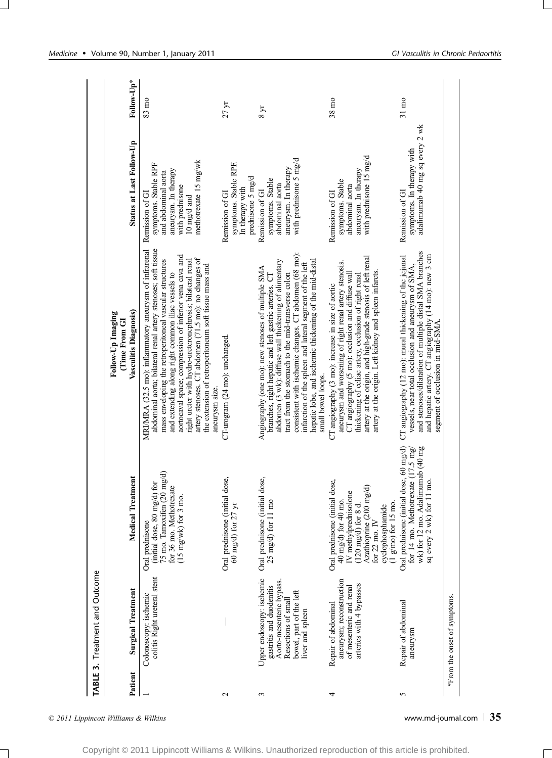|                 | TABLE 3. Treatment and Outcome                                                                                                                          |                                                                                                                                                                                                                       |                                                                                                                                                                                                                                                                                                                                                                                                                                                                                                    |                                                                                                                                                             |                 |
|-----------------|---------------------------------------------------------------------------------------------------------------------------------------------------------|-----------------------------------------------------------------------------------------------------------------------------------------------------------------------------------------------------------------------|----------------------------------------------------------------------------------------------------------------------------------------------------------------------------------------------------------------------------------------------------------------------------------------------------------------------------------------------------------------------------------------------------------------------------------------------------------------------------------------------------|-------------------------------------------------------------------------------------------------------------------------------------------------------------|-----------------|
|                 |                                                                                                                                                         |                                                                                                                                                                                                                       | Follow-Up Imaging<br>Time From GI                                                                                                                                                                                                                                                                                                                                                                                                                                                                  |                                                                                                                                                             |                 |
| Patient         | <b>Surgical Treatment</b>                                                                                                                               | <b>Medical Treatment</b>                                                                                                                                                                                              | Vasculitis Diagnosis)                                                                                                                                                                                                                                                                                                                                                                                                                                                                              | Status at Last Follow-Up                                                                                                                                    | Follow-Up*      |
|                 | colitis Right ureteral stent<br>Colonoscopy: ischemic                                                                                                   | 75 mo. Tamoxifen (20 mg/d)<br>(initial dose, 80 mg/d) for<br>for 36 mo. Methotrexate<br>$(15 \text{ mg/wk})$ for 3 mo.<br>Oral prednisone                                                                             | abdominal aorta; bilateral renal artery stenoses; soft tissue<br>MRI/MRA (32.5 mo): inflammatory aneurysm of infrarenal<br>aortocaval space; compression of inferior vena cava and<br>artery stenoses. CT abdomen (71.5 mo): no changes of<br>right ureter with hydro-ureteronephrosis; bilateral renal<br>mass enveloping the retroperitoneal vascular structures<br>the extension of retroperitoneum soft tissue mass and<br>and extending along right common iliac vessels to<br>aneurysm size. | methotrexate 15 mg/wk<br>symptoms. Stable RPF<br>aneurysm. In therapy<br>and abdominal aorta<br>with prednisone<br>Remission of GI<br>$10 \text{ mg/d}$ and | 83 mo           |
| $\mathbf{\sim}$ |                                                                                                                                                         | Oral prednisone (initial dose,<br>60 mg/d) for 27 yr                                                                                                                                                                  | CT-urogram (24 mo): unchanged.                                                                                                                                                                                                                                                                                                                                                                                                                                                                     | symptoms. Stable RPF.<br>prednisone 5 mg/d<br>In therapy with<br>Remission of GI                                                                            | 27 yr           |
| 3               | Upper endoscopy: ischemic<br>Aorto-mesenteric bypass.<br>gastritis and duodenitis<br>bowel, part of the left<br>Resections of small<br>liver and spleen | Oral prednisone (initial dose,<br>$25 \text{ mg/d}$ for 11 mo                                                                                                                                                         | consistent with ischemic changes. CT abdomen (68 mo):<br>hepatic lobe, and ischemic thickening of the mid-distal<br>abdomen (3 wk): diffuse wall thickening of alimentary<br>infarction of the spleen and lateral segment of the left<br>Angiography (one mo): new stenoses of multiple SMA<br>branches, right hepatic and left gastric arteries. CT<br>tract from the stomach to the mid-transverse colon<br>small bowel loops.                                                                   | with prednisone 5 mg/d<br>aneurysm. In therapy<br>symptoms. Stable<br>abdominal aorta<br>Remission of GI                                                    | $8 \text{ yr}$  |
| 4               | aneurysm; reconstruction<br>arteries with 4 bypasses<br>of mesenteric and renal<br>Repair of abdominal                                                  | Oral prednisone (initial dose,<br>Azathioprine (200 mg/d)<br>IV methylprednisolone<br>40 mg/d) for 40 mo.<br>$(120 \text{ mg/d})$ for 8 d.<br>cyclophosphamide<br>$(1 \text{ g/mol})$ for 15 mo.<br>for $22$ mo. $IV$ | artery at the origin, and high-grade stenosis of left renal<br>aneurysm and worsening of right renal artery stenosis.<br>artery at the origin. Left kidney and spleen infarcts.<br>CT angiography (5 mo): occlusion and diffuse wall<br>thickening of celiac artery, occlusion of right renal<br>CT angiography (3 mo): increase in size of aortic                                                                                                                                                 | with prednisone 15 mg/d<br>aneurysm. In therapy<br>symptoms. Stable<br>abdominal aorta<br>Remission of GI                                                   | $38 \text{ mo}$ |
| 5               | Repair of abdominal<br>aneurysm                                                                                                                         | Oral prednisone (initial dose, 60 mg/d)<br>wk) for 12 mo. Adalimumab (40 mg<br>for 14 mo. Methotrexate (17.5 mg/<br>sq every 2 wk) for 11 mo.                                                                         | and stenoses/dilatation of multiple distal SMA branches<br>and hepatic artery. CT angiography (14 mo): new 3 cm<br>CT angiography (12 mo): mural thickening of the jejunal<br>vessels, near total occlusion and aneurysm of SMA,<br>segment of occlusion in mid-SMA.                                                                                                                                                                                                                               | adalimumab 40 mg sq every 2 wk<br>symptoms. In therapy with<br>Remission of GI                                                                              | $31 \text{ mo}$ |
|                 | *From the onset of symptoms.                                                                                                                            |                                                                                                                                                                                                                       |                                                                                                                                                                                                                                                                                                                                                                                                                                                                                                    |                                                                                                                                                             |                 |

 $\Box$ 

Copyright © 2011 Lippincott Williams & Wilkins. Unauthorized reproduction of this article is prohibited.

 $\degree$  2011 Lippincott Williams & Wilkins www.md-journal.com  $\degree$  35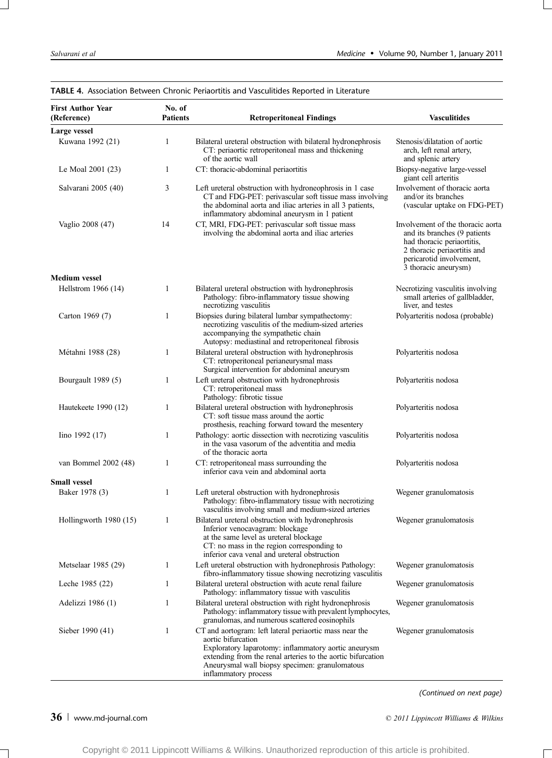$\overline{\phantom{0}}$ 

| First Author Year<br>(Reference) | No. of<br><b>Patients</b> | <b>Retroperitoneal Findings</b>                                                                                                                                                                                                                                                | <b>Vasculitides</b>                                                                                                                                                                 |
|----------------------------------|---------------------------|--------------------------------------------------------------------------------------------------------------------------------------------------------------------------------------------------------------------------------------------------------------------------------|-------------------------------------------------------------------------------------------------------------------------------------------------------------------------------------|
| Large vessel                     |                           |                                                                                                                                                                                                                                                                                |                                                                                                                                                                                     |
| Kuwana 1992 (21)                 | 1                         | Bilateral ureteral obstruction with bilateral hydronephrosis<br>CT: periaortic retroperitoneal mass and thickening<br>of the aortic wall                                                                                                                                       | Stenosis/dilatation of aortic<br>arch, left renal artery,<br>and splenic artery                                                                                                     |
| Le Moal 2001 (23)                | $\mathbf{1}$              | CT: thoracic-abdominal periaortitis                                                                                                                                                                                                                                            | Biopsy-negative large-vessel<br>giant cell arteritis                                                                                                                                |
| Salvarani 2005 (40)              | 3                         | Left ureteral obstruction with hydroneophrosis in 1 case<br>CT and FDG-PET: perivascular soft tissue mass involving<br>the abdominal aorta and iliac arteries in all 3 patients,<br>inflammatory abdominal aneurysm in 1 patient                                               | Involvement of thoracic aorta<br>and/or its branches<br>(vascular uptake on FDG-PET)                                                                                                |
| Vaglio 2008 (47)                 | 14                        | CT, MRI, FDG-PET: perivascular soft tissue mass<br>involving the abdominal aorta and iliac arteries                                                                                                                                                                            | Involvement of the thoracic aorta<br>and its branches (9 patients)<br>had thoracic periaortitis,<br>2 thoracic periaortitis and<br>pericarotid involvement,<br>3 thoracic aneurysm) |
| Medium vessel                    |                           |                                                                                                                                                                                                                                                                                |                                                                                                                                                                                     |
| Hellstrom 1966 (14)              | $\mathbf{1}$              | Bilateral ureteral obstruction with hydronephrosis<br>Pathology: fibro-inflammatory tissue showing<br>necrotizing vasculitis                                                                                                                                                   | Necrotizing vasculitis involving<br>small arteries of gallbladder,<br>liver, and testes                                                                                             |
| Carton 1969 (7)                  | 1                         | Biopsies during bilateral lumbar sympathectomy:<br>necrotizing vasculitis of the medium-sized arteries<br>accompanying the sympathetic chain<br>Autopsy: mediastinal and retroperitoneal fibrosis                                                                              | Polyarteritis nodosa (probable)                                                                                                                                                     |
| Métahni 1988 (28)                | $\mathbf{1}$              | Bilateral ureteral obstruction with hydronephrosis<br>CT: retroperitoneal perianeurysmal mass<br>Surgical intervention for abdominal aneurysm                                                                                                                                  | Polyarteritis nodosa                                                                                                                                                                |
| Bourgault 1989 (5)               | 1                         | Left ureteral obstruction with hydronephrosis<br>CT: retroperitoneal mass<br>Pathology: fibrotic tissue                                                                                                                                                                        | Polyarteritis nodosa                                                                                                                                                                |
| Hautekeete 1990 (12)             | 1                         | Bilateral ureteral obstruction with hydronephrosis<br>CT: soft tissue mass around the aortic<br>prosthesis, reaching forward toward the mesentery                                                                                                                              | Polyarteritis nodosa                                                                                                                                                                |
| $\lim_{1992}$ (17)               | 1                         | Pathology: aortic dissection with necrotizing vasculitis<br>in the vasa vasorum of the adventitia and media<br>of the thoracic aorta                                                                                                                                           | Polyarteritis nodosa                                                                                                                                                                |
| van Bommel 2002 (48)             | 1                         | CT: retroperitoneal mass surrounding the<br>inferior cava vein and abdominal aorta                                                                                                                                                                                             | Polyarteritis nodosa                                                                                                                                                                |
| <b>Small vessel</b>              |                           |                                                                                                                                                                                                                                                                                |                                                                                                                                                                                     |
| Baker 1978 (3)                   | 1                         | Left ureteral obstruction with hydronephrosis<br>Pathology: fibro-inflammatory tissue with necrotizing<br>vasculitis involving small and medium-sized arteries                                                                                                                 | Wegener granulomatosis                                                                                                                                                              |
| Hollingworth 1980 (15)           | 1                         | Bilateral ureteral obstruction with hydronephrosis<br>Inferior venocavagram: blockage<br>at the same level as ureteral blockage<br>CT: no mass in the region corresponding to<br>inferior cava venal and ureteral obstruction                                                  | Wegener granulomatosis                                                                                                                                                              |
| Metselaar 1985 (29)              | $\mathbf{1}$              | Left ureteral obstruction with hydronephrosis Pathology:<br>fibro-inflammatory tissue showing necrotizing vasculitis                                                                                                                                                           | Wegener granulomatosis                                                                                                                                                              |
| Leche 1985 (22)                  | 1                         | Bilateral ureteral obstruction with acute renal failure<br>Pathology: inflammatory tissue with vasculitis                                                                                                                                                                      | Wegener granulomatosis                                                                                                                                                              |
| Adelizzi 1986 (1)                | 1                         | Bilateral ureteral obstruction with right hydronephrosis<br>Pathology: inflammatory tissue with prevalent lymphocytes,<br>granulomas, and numerous scattered eosinophils                                                                                                       | Wegener granulomatosis                                                                                                                                                              |
| Sieber 1990 (41)                 | 1                         | CT and aortogram: left lateral periaortic mass near the<br>aortic bifurcation<br>Exploratory laparotomy: inflammatory aortic aneurysm<br>extending from the renal arteries to the aortic bifurcation<br>Aneurysmal wall biopsy specimen: granulomatous<br>inflammatory process | Wegener granulomatosis                                                                                                                                                              |

| <b>TABLE 4.</b> Association Between Chronic Periaortitis and Vasculitides Reported in Literature |  |
|--------------------------------------------------------------------------------------------------|--|
|--------------------------------------------------------------------------------------------------|--|

(Continued on next page)

 $36$  | www.md-journal.com  $\degree$  2011 Lippincott Williams & Wilkins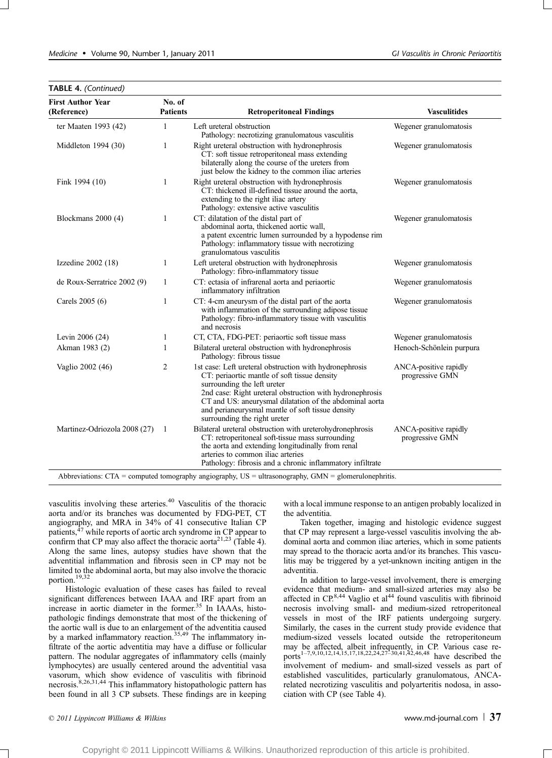|  | <b>TABLE 4.</b> (Continued) |
|--|-----------------------------|
|--|-----------------------------|

| <b>First Author Year</b><br>(Reference) | No. of<br><b>Patients</b> | <b>Retroperitoneal Findings</b>                                                                                                                                                                                                                                                                                                                   | <b>Vasculitides</b>                      |
|-----------------------------------------|---------------------------|---------------------------------------------------------------------------------------------------------------------------------------------------------------------------------------------------------------------------------------------------------------------------------------------------------------------------------------------------|------------------------------------------|
| ter Maaten 1993 (42)                    | 1                         | Left ureteral obstruction<br>Pathology: necrotizing granulomatous vasculitis                                                                                                                                                                                                                                                                      | Wegener granulomatosis                   |
| Middleton 1994 (30)                     | 1                         | Right ureteral obstruction with hydronephrosis<br>CT: soft tissue retroperitoneal mass extending<br>bilaterally along the course of the ureters from<br>just below the kidney to the common iliac arteries                                                                                                                                        | Wegener granulomatosis                   |
| Fink 1994 (10)                          | $\mathbf{1}$              | Right ureteral obstruction with hydronephrosis<br>CT: thickened ill-defined tissue around the aorta,<br>extending to the right iliac artery<br>Pathology: extensive active vasculitis                                                                                                                                                             | Wegener granulomatosis                   |
| Blockmans 2000 (4)                      | 1                         | CT: dilatation of the distal part of<br>abdominal aorta, thickened aortic wall,<br>a patent excentric lumen surrounded by a hypodense rim<br>Pathology: inflammatory tissue with necrotizing<br>granulomatous vasculitis                                                                                                                          | Wegener granulomatosis                   |
| Izzedine $2002(18)$                     | $\mathbf{1}$              | Left ureteral obstruction with hydronephrosis<br>Pathology: fibro-inflammatory tissue                                                                                                                                                                                                                                                             | Wegener granulomatosis                   |
| de Roux-Serratrice 2002 (9)             | $\mathbf{1}$              | CT: ectasia of infrarenal aorta and periaortic<br>inflammatory infiltration                                                                                                                                                                                                                                                                       | Wegener granulomatosis                   |
| Carels 2005 (6)                         | $\mathbf{1}$              | CT: 4-cm aneurysm of the distal part of the aorta<br>with inflammation of the surrounding adipose tissue<br>Pathology: fibro-inflammatory tissue with vasculitis<br>and necrosis                                                                                                                                                                  | Wegener granulomatosis                   |
| Levin 2006 (24)                         | $\mathbf{1}$              | CT, CTA, FDG-PET: periaortic soft tissue mass                                                                                                                                                                                                                                                                                                     | Wegener granulomatosis                   |
| Akman 1983 (2)                          | $\mathbf{1}$              | Bilateral ureteral obstruction with hydronephrosis<br>Pathology: fibrous tissue                                                                                                                                                                                                                                                                   | Henoch-Schönlein purpura                 |
| Vaglio 2002 (46)                        | 2                         | 1st case: Left ureteral obstruction with hydronephrosis<br>CT: periaortic mantle of soft tissue density<br>surrounding the left ureter<br>2nd case: Right ureteral obstruction with hydronephrosis<br>CT and US: aneurysmal dilatation of the abdominal aorta<br>and perianeurysmal mantle of soft tissue density<br>surrounding the right ureter | ANCA-positive rapidly<br>progressive GMN |
| Martinez-Odriozola 2008 (27)            | 1                         | Bilateral ureteral obstruction with ureterohydronephrosis<br>CT: retroperitoneal soft-tissue mass surrounding<br>the aorta and extending longitudinally from renal<br>arteries to common iliac arteries<br>Pathology: fibrosis and a chronic inflammatory infiltrate                                                                              | ANCA-positive rapidly<br>progressive GMN |

vasculitis involving these arteries.<sup>40</sup> Vasculitis of the thoracic aorta and/or its branches was documented by FDG-PET, CT angiography, and MRA in 34% of 41 consecutive Italian CP patients,<sup>47</sup> while reports of aortic arch syndrome in CP appear to confirm that CP may also affect the thoracic aorta<sup>21,23</sup> (Table 4). Along the same lines, autopsy studies have shown that the adventitial inflammation and fibrosis seen in CP may not be limited to the abdominal aorta, but may also involve the thoracic portion.19,32

Histologic evaluation of these cases has failed to reveal significant differences between IAAA and IRF apart from an increase in aortic diameter in the former.<sup>35</sup> In IAAAs, histopathologic findings demonstrate that most of the thickening of the aortic wall is due to an enlargement of the adventitia caused<br>by a marked inflammatory reaction.<sup>35,49</sup> The inflammatory infiltrate of the aortic adventitia may have a diffuse or follicular pattern. The nodular aggregates of inflammatory cells (mainly lymphocytes) are usually centered around the adventitial vasa vasorum, which show evidence of vasculitis with fibrinoid necrosis.<sup>8,26,31,44</sup> This inflammatory histopathologic pattern has been found in all 3 CP subsets. These findings are in keeping

with a local immune response to an antigen probably localized in the adventitia.

Taken together, imaging and histologic evidence suggest that CP may represent a large-vessel vasculitis involving the abdominal aorta and common iliac arteries, which in some patients may spread to the thoracic aorta and/or its branches. This vasculitis may be triggered by a yet-unknown inciting antigen in the adventitia.

In addition to large-vessel involvement, there is emerging evidence that medium- and small-sized arteries may also be affected in  $\text{CP}^{8,44}$  Vaglio et al<sup>44</sup> found vasculitis with fibrinoid necrosis involving small- and medium-sized retroperitoneal vessels in most of the IRF patients undergoing surgery. Similarly, the cases in the current study provide evidence that medium-sized vessels located outside the retroperitoneum may be affected, albeit infrequently, in CP. Various case re-<br>ports<sup>1–7,9,10,12,14,15,17,18,22,24,27–30,41,42,46,48</sup> have described the involvement of medium- and small-sized vessels as part of established vasculitides, particularly granulomatous, ANCArelated necrotizing vasculitis and polyarteritis nodosa, in association with CP (see Table 4).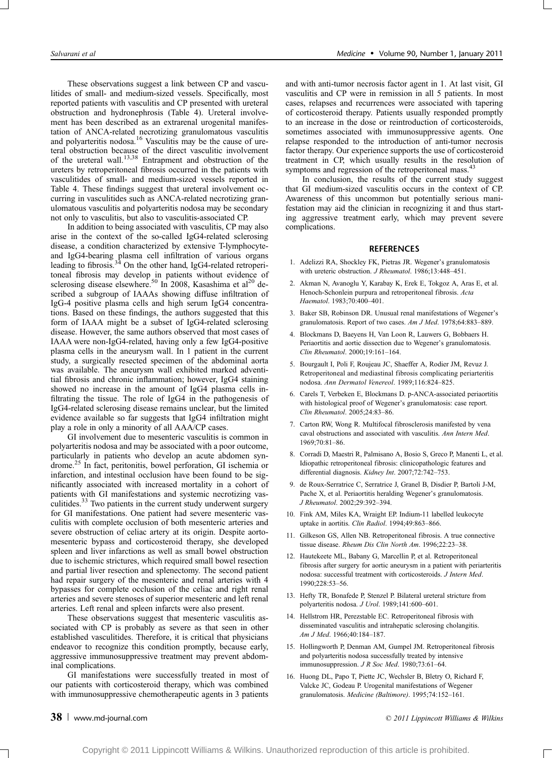These observations suggest a link between CP and vasculitides of small- and medium-sized vessels. Specifically, most reported patients with vasculitis and CP presented with ureteral obstruction and hydronephrosis (Table 4). Ureteral involvement has been described as an extrarenal urogenital manifestation of ANCA-related necrotizing granulomatous vasculitis and polyarteritis nodosa.<sup>16</sup> Vasculitis may be the cause of ureteral obstruction because of the direct vasculitic involvement<br>of the ureteral wall.<sup>13,38</sup> Entrapment and obstruction of the ureters by retroperitoneal fibrosis occurred in the patients with vasculitides of small- and medium-sized vessels reported in Table 4. These findings suggest that ureteral involvement occurring in vasculitides such as ANCA-related necrotizing granulomatous vasculitis and polyarteritis nodosa may be secondary not only to vasculitis, but also to vasculitis-associated CP.

In addition to being associated with vasculitis, CP may also arise in the context of the so-called IgG4-related sclerosing disease, a condition characterized by extensive T-lymphocyteand IgG4-bearing plasma cell infiltration of various organs leading to fibrosis.<sup>34</sup> On the other hand, IgG4-related retroperitoneal fibrosis may develop in patients without evidence of sclerosing disease elsewhere.<sup>50</sup> In 2008, Kasashima et al<sup>20</sup> described a subgroup of IAAAs showing diffuse infiltration of IgG-4 positive plasma cells and high serum IgG4 concentrations. Based on these findings, the authors suggested that this form of IAAA might be a subset of IgG4-related sclerosing disease. However, the same authors observed that most cases of IAAA were non-IgG4-related, having only a few IgG4-positive plasma cells in the aneurysm wall. In 1 patient in the current study, a surgically resected specimen of the abdominal aorta was available. The aneurysm wall exhibited marked adventitial fibrosis and chronic inflammation; however, IgG4 staining showed no increase in the amount of IgG4 plasma cells infiltrating the tissue. The role of IgG4 in the pathogenesis of IgG4-related sclerosing disease remains unclear, but the limited evidence available so far suggests that IgG4 infiltration might play a role in only a minority of all AAA/CP cases.

GI involvement due to mesenteric vasculitis is common in polyarteritis nodosa and may be associated with a poor outcome, particularly in patients who develop an acute abdomen syndrome.<sup>25</sup> In fact, peritonitis, bowel perforation, GI ischemia or infarction, and intestinal occlusion have been found to be significantly associated with increased mortality in a cohort of patients with GI manifestations and systemic necrotizing vasculitides.<sup>33</sup> Two patients in the current study underwent surgery for GI manifestations. One patient had severe mesenteric vasculitis with complete occlusion of both mesenteric arteries and severe obstruction of celiac artery at its origin. Despite aortomesenteric bypass and corticosteroid therapy, she developed spleen and liver infarctions as well as small bowel obstruction due to ischemic strictures, which required small bowel resection and partial liver resection and splenectomy. The second patient had repair surgery of the mesenteric and renal arteries with 4 bypasses for complete occlusion of the celiac and right renal arteries and severe stenoses of superior mesenteric and left renal arteries. Left renal and spleen infarcts were also present.

These observations suggest that mesenteric vasculitis associated with CP is probably as severe as that seen in other established vasculitides. Therefore, it is critical that physicians endeavor to recognize this condition promptly, because early, aggressive immunosuppressive treatment may prevent abdominal complications.

GI manifestations were successfully treated in most of our patients with corticosteroid therapy, which was combined with immunosuppressive chemotherapeutic agents in 3 patients

and with anti-tumor necrosis factor agent in 1. At last visit, GI vasculitis and CP were in remission in all 5 patients. In most cases, relapses and recurrences were associated with tapering of corticosteroid therapy. Patients usually responded promptly to an increase in the dose or reintroduction of corticosteroids, sometimes associated with immunosuppressive agents. One relapse responded to the introduction of anti-tumor necrosis factor therapy. Our experience supports the use of corticosteroid treatment in CP, which usually results in the resolution of symptoms and regression of the retroperitoneal mass.<sup>43</sup>

In conclusion, the results of the current study suggest that GI medium-sized vasculitis occurs in the context of CP. Awareness of this uncommon but potentially serious manifestation may aid the clinician in recognizing it and thus starting aggressive treatment early, which may prevent severe complications.

### **REFERENCES**

- 1. Adelizzi RA, Shockley FK, Pietras JR. Wegener's granulomatosis with ureteric obstruction. *J Rheumatol*. 1986;13:448-451.
- 2. Akman N, Avanoglu Y, Karabay K, Erek E, Tokgoz A, Aras E, et al. Henoch-Schonlein purpura and retroperitoneal fibrosis. Acta Haematol. 1983;70:400-401.
- 3. Baker SB, Robinson DR. Unusual renal manifestations of Wegener's granulomatosis. Report of two cases. Am J Med. 1978;64:883-889.
- 4. Blockmans D, Baeyens H, Van Loon R, Lauwers G, Bobbaers H. Periaortitis and aortic dissection due to Wegener's granulomatosis. Clin Rheumatol. 2000;19:161-164.
- 5. Bourgault I, Poli F, Roujeau JC, Shaeffer A, Rodier JM, Revuz J. Retroperitoneal and mediastinal fibrosis complicating periarteritis nodosa. Ann Dermatol Venereol. 1989;116:824-825.
- 6. Carels T, Verbeken E, Blockmans D. p-ANCA-associated periaortitis with histological proof of Wegener's granulomatosis: case report. Clin Rheumatol. 2005;24:83-86.
- 7. Carton RW, Wong R. Multifocal fibrosclerosis manifested by vena caval obstructions and associated with vasculitis. Ann Intern Med. 1969:70:81-86.
- 8. Corradi D, Maestri R, Palmisano A, Bosio S, Greco P, Manenti L, et al. Idiopathic retroperitoneal fibrosis: clinicopathologic features and differential diagnosis. Kidney Int. 2007;72:742-753.
- 9. de Roux-Serratrice C, Serratrice J, Granel B, Disdier P, Bartoli J-M, Pache X, et al. Periaortitis heralding Wegener's granulomatosis. J Rheumatol. 2002;29:392-394.
- 10. Fink AM, Miles KA, Wraight EP. Indium-11 labelled leukocyte uptake in aortitis. Clin Radiol. 1994;49:863-866.
- 11. Gilkeson GS, Allen NB. Retroperitoneal fibrosis. A true connective tissue disease. Rheum Dis Clin North Am.  $1996:22:23-38$ .
- 12. Hautekeete ML, Babany G, Marcellin P, et al. Retroperitoneal fibrosis after surgery for aortic aneurysm in a patient with periarteritis nodosa: successful treatment with corticosteroids. J Intern Med. 1990:228:53-56
- 13. Hefty TR, Bonafede P, Stenzel P. Bilateral ureteral stricture from polyarteritis nodosa.  $J$  Urol. 1989;141:600-601.
- 14. Hellstrom HR, Perezstable EC. Retroperitoneal fibrosis with disseminated vasculitis and intrahepatic sclerosing cholangitis. Am J Med. 1966;40:184-187.
- 15. Hollingworth P, Denman AM, Gumpel JM. Retroperitoneal fibrosis and polyarteritis nodosa successfully treated by intensive immunosuppression. J R Soc Med. 1980;73:61-64.
- 16. Huong DL, Papo T, Piette JC, Wechsler B, Bletry O, Richard F, Valcke JC, Godeau P. Urogenital manifestations of Wegener granulomatosis. Medicine (Baltimore). 1995;74:152-161.

**38** www.md-journal.com  $\bullet$  2011 Lippincott Williams & Wilkins